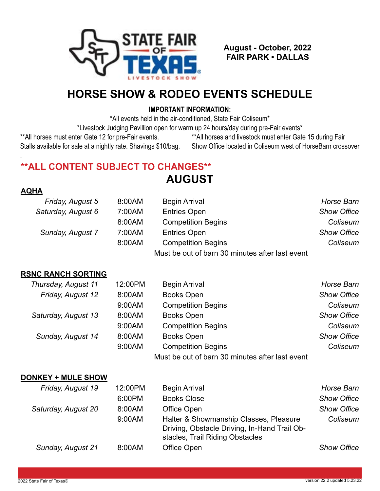

**August - October, 2022 FAIR PARK • DALLAS**

## **HORSE SHOW & RODEO EVENTS SCHEDULE**

### **IMPORTANT INFORMATION:**

\*All events held in the air-conditioned, State Fair Coliseum\*

\*Livestock Judging Pavillion open for warm up 24 hours/day during pre-Fair events\*

Stalls available for sale at a nightly rate. Shavings \$10/bag. Show Office located in Coliseum west of HorseBarn crossover

\*\*All horses must enter Gate 12 for pre-Fair events. \*\*\* All horses and livestock must enter Gate 15 during Fair

## **\*\*ALL CONTENT SUBJECT TO CHANGES\*\***

**AUGUST**

### **AQHA**

.

| Friday, August 5   | 8:00AM | <b>Begin Arrival</b>                            | Horse Barn         |
|--------------------|--------|-------------------------------------------------|--------------------|
| Saturday, August 6 | 7:00AM | <b>Entries Open</b>                             | <b>Show Office</b> |
|                    | 8:00AM | <b>Competition Begins</b>                       | Coliseum           |
| Sunday, August 7   | 7:00AM | <b>Entries Open</b>                             | <b>Show Office</b> |
|                    | 8:00AM | <b>Competition Begins</b>                       | Coliseum           |
|                    |        | Must be out of barn 30 minutes after last event |                    |

### **RSNC RANCH SORTING**

| Thursday, August 11 | 12:00PM | <b>Begin Arrival</b>                            | Horse Barn         |
|---------------------|---------|-------------------------------------------------|--------------------|
| Friday, August 12   | 8:00AM  | <b>Books Open</b>                               | <b>Show Office</b> |
|                     | 9:00AM  | <b>Competition Begins</b>                       | Coliseum           |
| Saturday, August 13 | 8:00AM  | <b>Books Open</b>                               | <b>Show Office</b> |
|                     | 9:00AM  | <b>Competition Begins</b>                       | Coliseum           |
| Sunday, August 14   | 8:00AM  | <b>Books Open</b>                               | <b>Show Office</b> |
|                     | 9:00AM  | <b>Competition Begins</b>                       | Coliseum           |
|                     |         | Must be out of barn 30 minutes after last event |                    |

#### **DONKEY + MULE SHOW**

| Friday, August 19   | 12:00PM | <b>Begin Arrival</b>                                                                                                      | Horse Barn         |
|---------------------|---------|---------------------------------------------------------------------------------------------------------------------------|--------------------|
|                     | 6:00PM  | <b>Books Close</b>                                                                                                        | <b>Show Office</b> |
| Saturday, August 20 | 8:00AM  | Office Open                                                                                                               | <b>Show Office</b> |
|                     | 9:00AM  | Halter & Showmanship Classes, Pleasure<br>Driving, Obstacle Driving, In-Hand Trail Ob-<br>stacles, Trail Riding Obstacles | Coliseum           |
| Sunday, August 21   | 8:00AM  | Office Open                                                                                                               | <b>Show Office</b> |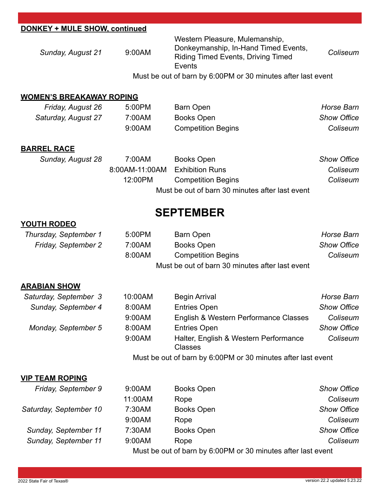| DONKEY + MULE SHOW, continued   |                |                                                                                                                                      |                    |
|---------------------------------|----------------|--------------------------------------------------------------------------------------------------------------------------------------|--------------------|
| Sunday, August 21               | 9:00AM         | Western Pleasure, Mulemanship,<br>Donkeymanship, In-Hand Timed Events,<br><b>Riding Timed Events, Driving Timed</b><br><b>Events</b> | Coliseum           |
|                                 |                | Must be out of barn by 6:00PM or 30 minutes after last event                                                                         |                    |
| <b>WOMEN'S BREAKAWAY ROPING</b> |                |                                                                                                                                      |                    |
| Friday, August 26               | 5:00PM         | <b>Barn Open</b>                                                                                                                     | <b>Horse Barn</b>  |
| Saturday, August 27             | 7:00AM         | <b>Books Open</b>                                                                                                                    | <b>Show Office</b> |
|                                 | 9:00AM         | <b>Competition Begins</b>                                                                                                            | Coliseum           |
| <b>BARREL RACE</b>              |                |                                                                                                                                      |                    |
| Sunday, August 28               | 7:00AM         | <b>Books Open</b>                                                                                                                    | <b>Show Office</b> |
|                                 | 8:00AM-11:00AM | <b>Exhibition Runs</b>                                                                                                               | Coliseum           |
|                                 | 12:00PM        | <b>Competition Begins</b>                                                                                                            | Coliseum           |
|                                 |                | Must be out of barn 30 minutes after last event                                                                                      |                    |
|                                 |                | <b>SEPTEMBER</b>                                                                                                                     |                    |
| <b>YOUTH RODEO</b>              |                |                                                                                                                                      |                    |
| Thursday, September 1           | 5:00PM         | <b>Barn Open</b>                                                                                                                     | <b>Horse Barn</b>  |
| Friday, September 2             | 7:00AM         | <b>Books Open</b>                                                                                                                    | <b>Show Office</b> |
|                                 | 8:00AM         | <b>Competition Begins</b>                                                                                                            | Coliseum           |
|                                 |                | Must be out of barn 30 minutes after last event                                                                                      |                    |
| <b>ARABIAN SHOW</b>             |                |                                                                                                                                      |                    |
| Saturday, September 3           | 10:00AM        | <b>Begin Arrival</b>                                                                                                                 | <b>Horse Barn</b>  |
| Sunday, September 4             | 8:00AM         | <b>Entries Open</b>                                                                                                                  | <b>Show Office</b> |

*Monday, September 5* 8:00AM Entries Open *Show Office*

*Friday, September 9* 9:00AM Books Open *Show Office*

*Saturday, September 10* 7:30AM Books Open *Show Office*

*Sunday, September 11* 7:30AM Books Open *Show Office Sunday, September 11* 9:00AM Rope *Coliseum*

Classes

9:00AM Halter, English & Western Performance

9:00AM English & Western Performance Classes *Coliseum*

Must be out of barn by 6:00PM or 30 minutes after last event

11:00AM Rope *Coliseum*

9:00AM Rope *Coliseum*

Must be out of barn by 6:00PM or 30 minutes after last event

**VIP TEAM ROPING**

*Coliseum*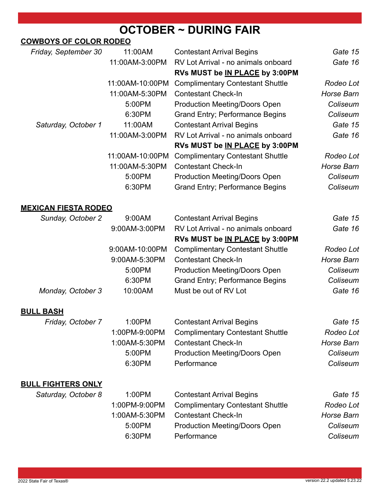# **OCTOBER ~ DURING FAIR**

### **COWBOYS OF COLOR RODEO**

| Friday, September 30        | 11:00AM         | <b>Contestant Arrival Begins</b>        | Gate 15    |
|-----------------------------|-----------------|-----------------------------------------|------------|
|                             | 11:00AM-3:00PM  | RV Lot Arrival - no animals onboard     | Gate 16    |
|                             |                 | RVs MUST be IN PLACE by 3:00PM          |            |
|                             | 11:00AM-10:00PM | <b>Complimentary Contestant Shuttle</b> | Rodeo Lot  |
|                             | 11:00AM-5:30PM  | <b>Contestant Check-In</b>              | Horse Barn |
|                             | 5:00PM          | <b>Production Meeting/Doors Open</b>    | Coliseum   |
|                             | 6:30PM          | <b>Grand Entry; Performance Begins</b>  | Coliseum   |
| Saturday, October 1         | 11:00AM         | <b>Contestant Arrival Begins</b>        | Gate 15    |
|                             | 11:00AM-3:00PM  | RV Lot Arrival - no animals onboard     | Gate 16    |
|                             |                 | RVs MUST be IN PLACE by 3:00PM          |            |
|                             | 11:00AM-10:00PM | <b>Complimentary Contestant Shuttle</b> | Rodeo Lot  |
|                             | 11:00AM-5:30PM  | <b>Contestant Check-In</b>              | Horse Barn |
|                             | 5:00PM          | <b>Production Meeting/Doors Open</b>    | Coliseum   |
|                             | 6:30PM          | <b>Grand Entry: Performance Begins</b>  | Coliseum   |
| <b>MEXICAN FIESTA RODEO</b> |                 |                                         |            |
| Sunday, October 2           | 9:00AM          | <b>Contestant Arrival Begins</b>        | Gate 15    |
|                             | 9:00AM-3:00PM   | RV Lot Arrival - no animals onboard     | Gate 16    |
|                             |                 | RVs MUST be IN PLACE by 3:00PM          |            |

|                   |               | $1.110$ moot bo <u>in the son</u> by 0.001 m    |                   |
|-------------------|---------------|-------------------------------------------------|-------------------|
|                   |               | 9:00AM-10:00PM Complimentary Contestant Shuttle | Rodeo Lot         |
|                   | 9:00AM-5:30PM | <b>Contestant Check-In</b>                      | <b>Horse Barn</b> |
|                   | 5:00PM        | <b>Production Meeting/Doors Open</b>            | Coliseum          |
|                   | 6:30PM        | <b>Grand Entry; Performance Begins</b>          | Coliseum          |
| Monday, October 3 | 10:00AM       | Must be out of RV Lot                           | Gate 16           |
|                   |               |                                                 |                   |

### **BULL BASH**

| Friday, October 7 | 1:00PM        | <b>Contestant Arrival Begins</b>        | Gate 15    |
|-------------------|---------------|-----------------------------------------|------------|
|                   | 1:00PM-9:00PM | <b>Complimentary Contestant Shuttle</b> | Rodeo Lot  |
|                   | 1:00AM-5:30PM | <b>Contestant Check-In</b>              | Horse Barn |
|                   | 5:00PM        | <b>Production Meeting/Doors Open</b>    | Coliseum   |
|                   | 6:30PM        | Performance                             | Coliseum   |

### **BULL FIGHTERS ONLY**

| Saturday, October 8 | 1:00PM        | <b>Contestant Arrival Begins</b>        | Gate 15    |
|---------------------|---------------|-----------------------------------------|------------|
|                     | 1:00PM-9:00PM | <b>Complimentary Contestant Shuttle</b> | Rodeo Lot  |
|                     | 1:00AM-5:30PM | <b>Contestant Check-In</b>              | Horse Barn |
|                     | 5:00PM        | <b>Production Meeting/Doors Open</b>    | Coliseum   |
|                     | 6:30PM        | Performance                             | Coliseum   |
|                     |               |                                         |            |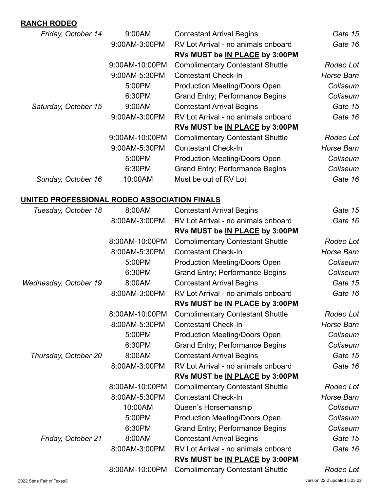### **RANCH RODEO**

| Friday, October 14   | 9:00AM         | <b>Contestant Arrival Begins</b>        | Gate 15    |
|----------------------|----------------|-----------------------------------------|------------|
|                      | 9:00AM-3:00PM  | RV Lot Arrival - no animals onboard     | Gate 16    |
|                      |                | RVs MUST be IN PLACE by 3:00PM          |            |
|                      | 9:00AM-10:00PM | <b>Complimentary Contestant Shuttle</b> | Rodeo Lot  |
|                      | 9:00AM-5:30PM  | <b>Contestant Check-In</b>              | Horse Barn |
|                      | 5:00PM         | <b>Production Meeting/Doors Open</b>    | Coliseum   |
|                      | 6:30PM         | <b>Grand Entry; Performance Begins</b>  | Coliseum   |
| Saturday, October 15 | 9:00AM         | <b>Contestant Arrival Begins</b>        | Gate 15    |
|                      | 9:00AM-3:00PM  | RV Lot Arrival - no animals onboard     | Gate 16    |
|                      |                | RVs MUST be IN PLACE by 3:00PM          |            |
|                      | 9:00AM-10:00PM | <b>Complimentary Contestant Shuttle</b> | Rodeo Lot  |
|                      | 9:00AM-5:30PM  | <b>Contestant Check-In</b>              | Horse Barn |
|                      | 5:00PM         | <b>Production Meeting/Doors Open</b>    | Coliseum   |
|                      | 6:30PM         | <b>Grand Entry; Performance Begins</b>  | Coliseum   |
| Sunday, October 16   | 10:00AM        | Must be out of RV Lot                   | Gate 16    |

### **UNITED PROFESSIONAL RODEO ASSOCIATION FINALS**

| Tuesday, October 18   | 8:00AM         | <b>Contestant Arrival Begins</b>        | Gate 15    |
|-----------------------|----------------|-----------------------------------------|------------|
|                       | 8:00AM-3:00PM  | RV Lot Arrival - no animals onboard     | Gate 16    |
|                       |                | RVs MUST be IN PLACE by 3:00PM          |            |
|                       | 8:00AM-10:00PM | <b>Complimentary Contestant Shuttle</b> | Rodeo Lot  |
|                       | 8:00AM-5:30PM  | <b>Contestant Check-In</b>              | Horse Barn |
|                       | 5:00PM         | <b>Production Meeting/Doors Open</b>    | Coliseum   |
|                       | 6:30PM         | <b>Grand Entry; Performance Begins</b>  | Coliseum   |
| Wednesday, October 19 | 8:00AM         | <b>Contestant Arrival Begins</b>        | Gate 15    |
|                       | 8:00AM-3:00PM  | RV Lot Arrival - no animals onboard     | Gate 16    |
|                       |                | RVs MUST be IN PLACE by 3:00PM          |            |
|                       | 8:00AM-10:00PM | <b>Complimentary Contestant Shuttle</b> | Rodeo Lot  |
|                       | 8:00AM-5:30PM  | <b>Contestant Check-In</b>              | Horse Barn |
|                       | 5:00PM         | <b>Production Meeting/Doors Open</b>    | Coliseum   |
|                       | 6:30PM         | <b>Grand Entry; Performance Begins</b>  | Coliseum   |
| Thursday, October 20  | 8:00AM         | <b>Contestant Arrival Begins</b>        | Gate 15    |
|                       | 8:00AM-3:00PM  | RV Lot Arrival - no animals onboard     | Gate 16    |
|                       |                | RVs MUST be IN PLACE by 3:00PM          |            |
|                       | 8:00AM-10:00PM | <b>Complimentary Contestant Shuttle</b> | Rodeo Lot  |
|                       | 8:00AM-5:30PM  | <b>Contestant Check-In</b>              | Horse Barn |
|                       | 10:00AM        | Queen's Horsemanship                    | Coliseum   |
|                       | 5:00PM         | <b>Production Meeting/Doors Open</b>    | Coliseum   |
|                       | 6:30PM         | <b>Grand Entry; Performance Begins</b>  | Coliseum   |
| Friday, October 21    | 8:00AM         | <b>Contestant Arrival Begins</b>        | Gate 15    |
|                       | 8:00AM-3:00PM  | RV Lot Arrival - no animals onboard     | Gate 16    |
|                       |                | RVs MUST be IN PLACE by 3:00PM          |            |
|                       | 8:00AM-10:00PM | <b>Complimentary Contestant Shuttle</b> | Rodeo Lot  |